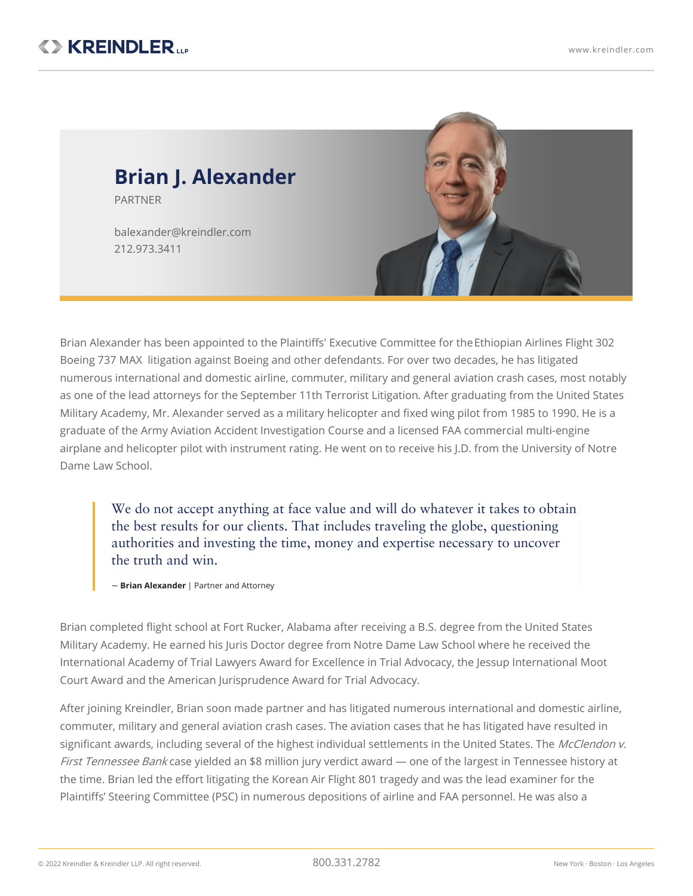PARTNER

212.973.3411



Brian Alexander has been appointed to the Plaintiffs' Executive Committee for [theEthiopian](https://www.kreindler.com/cases/et302-boeing-737-max-8-crash-ethiopia) Airlines Flight 302 Boeing 737 MAX litigation against Boeing and other defendants. For over two decades, he has litigated numerous international and domestic airline, commuter, military and general aviation crash cases, most notably as one of the lead attorneys for the [September](https://www.kreindler.com/cases/9-11-terror-lawsuit-saudi-arabia) 11th Terrorist Litigation. After graduating from the United States Military Academy, Mr. Alexander served as a military helicopter and fixed wing pilot from 1985 to 1990. He is a graduate of the Army Aviation Accident Investigation Course and a licensed FAA commercial multi-engine airplane and helicopter pilot with instrument rating. He went on to receive his J.D. from the University of Notre Dame Law School.

We do not accept anything at face value and will do whatever it takes to obtain the best results for our clients. That includes traveling the globe, questioning authorities and investing the time, money and expertise necessary to uncover the truth and win.

~ **Brian Alexander** | Partner and Attorney

Brian completed flight school at Fort Rucker, Alabama after receiving a B.S. degree from the United States Military Academy. He earned his Juris Doctor degree from Notre Dame Law School where he received the International Academy of Trial Lawyers Award for Excellence in Trial Advocacy, the Jessup International Moot Court Award and the American Jurisprudence Award for Trial Advocacy.

After joining Kreindler, Brian soon made partner and has litigated numerous international and domestic airline, commuter, military and general aviation crash cases. The aviation cases that he has litigated have resulted in significant awards, including several of the highest individual settlements in the United States. The McClendon v. First Tennessee Bank case yielded an \$8 million jury verdict award — one of the largest in Tennessee history at the time. Brian led the effort litigating the Korean Air Flight 801 tragedy and was the lead examiner for the Plaintiffs' Steering Committee (PSC) in numerous depositions of airline and FAA personnel. He was also a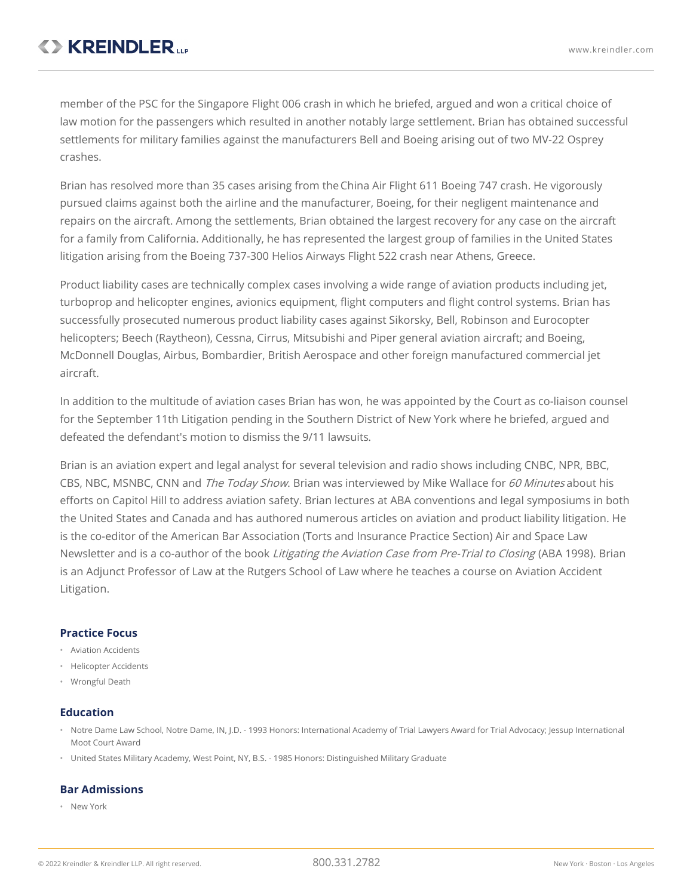member of the PSC for the Singapore Flight 006 crash in which he briefed, argued and won a critical choice of law motion for the passengers which resulted in another notably large settlement. Brian has obtained successful settlements for military families against the manufacturers Bell and Boeing arising out of two MV-22 Osprey crashes.

Brian has resolved more than 35 cases arising from the[China](https://www.kreindler.com/cases/china-airlines-flight-611-crash-cases) Air Flight 611 Boeing 747 crash. He vigorously pursued claims against both the airline and the manufacturer, Boeing, for their negligent maintenance and repairs on the aircraft. Among the settlements, Brian obtained the largest recovery for any case on the aircraft for a family from California. Additionally, he has represented the largest group of families in the United States litigation arising from the Boeing 737-300 Helios [Airways](https://www.kreindler.com/news/helios-airways-flight-522-accident-athens-greece) Flight 522 crash near Athens, Greece.

Product liability cases are technically complex cases involving a wide range of aviation products including jet, turboprop and helicopter engines, avionics equipment, flight computers and flight control systems. Brian has successfully prosecuted numerous product liability cases against Sikorsky, Bell, Robinson and Eurocopter helicopters; Beech (Raytheon), Cessna, Cirrus, Mitsubishi and Piper general aviation aircraft; and Boeing, McDonnell Douglas, Airbus, Bombardier, British Aerospace and other foreign manufactured commercial jet aircraft.

In addition to the multitude of aviation cases Brian has won, he was appointed by the Court as co-liaison counsel for the September 11th Litigation pending in the Southern District of New York where he briefed, argued and defeated the defendant's motion to dismiss the 9/11 [lawsuits](https://www.kreindler.com/articles/the-9-11-tort-litigation-five-years-on).

Brian is an aviation expert and legal analyst for several television and radio shows including CNBC, NPR, BBC, CBS, NBC, MSNBC, CNN and The Today Show. Brian was interviewed by Mike Wallace for 60 Minutes about his efforts on Capitol Hill to address aviation safety. Brian lectures at ABA conventions and legal symposiums in both the United States and Canada and has authored numerous articles on aviation and product liability litigation. He is the co-editor of the American Bar Association (Torts and Insurance Practice Section) Air and Space Law Newsletter and is a co-author of the book Litigating the Aviation Case from Pre-Trial to Closing (ABA 1998). Brian is an Adjunct Professor of Law at the Rutgers School of Law where he teaches a course on Aviation Accident Litigation.

## **Practice Focus**

- Aviation Accidents
- Helicopter Accidents
- Wrongful Death

#### **Education**

- Notre Dame Law School, Notre Dame, IN, J.D. 1993 Honors: International Academy of Trial Lawyers Award for Trial Advocacy; Jessup International Moot Court Award
- United States Military Academy, West Point, NY, B.S. 1985 Honors: Distinguished Military Graduate

## **Bar Admissions**

• New York